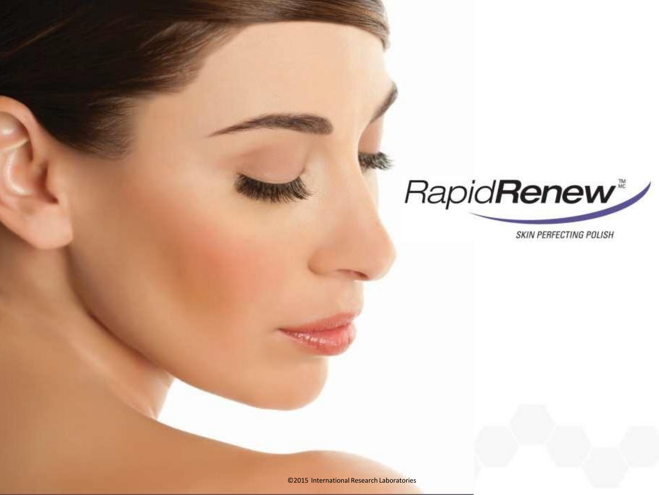

**SKIN PERFECTING POLISH** 

©2015 International Research Laboratories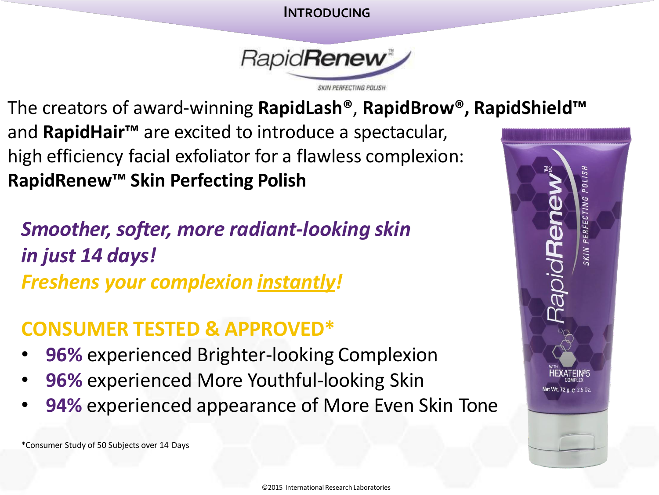#### **INTRODUCING**



The creators of award-winning **RapidLash®**, **RapidBrow® , RapidShield™**  and **RapidHair™** are excited to introduce a spectacular, high efficiency facial exfoliator for a flawless complexion: **RapidRenew™ Skin Perfecting Polish**

# *Smoother, softer, more radiant-looking skin in just 14 days! Freshens your complexion instantly!*

## **CONSUMER TESTED & APPROVED\***

- **96% experienced Brighter-looking Complexion**
- **96% experienced More Youthful-looking Skin**
- **94%** experienced appearance of More Even Skin Tone

\*Consumer Study of 50 Subjects over 14 Days

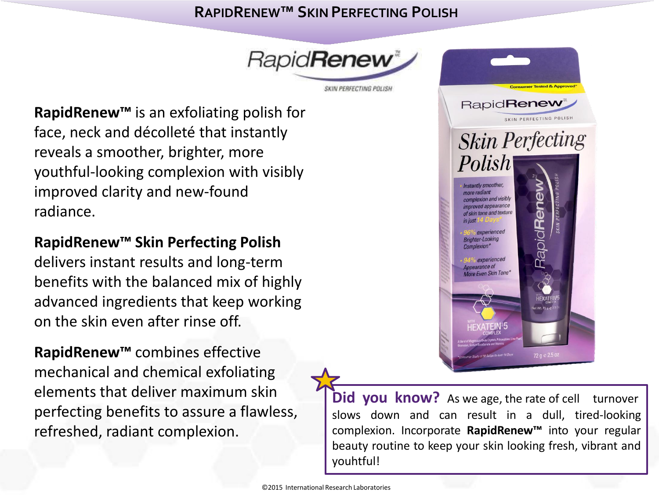### **RAPIDRENEW™ SKIN PERFECTING POLISH**



**RapidRenew™** is an exfoliating polish for face, neck and décolleté that instantly reveals a smoother, brighter, more youthful-looking complexion with visibly improved clarity and new-found radiance.

### **RapidRenew™ Skin Perfecting Polish**

delivers instant results and long-term benefits with the balanced mix of highly advanced ingredients that keep working on the skin even after rinse off.

**RapidRenew™** combines effective mechanical and chemical exfoliating elements that deliver maximum skin perfecting benefits to assure a flawless, refreshed, radiant complexion.



**Did you know?** As we age, the rate of cell turnover slows down and can result in a dull, tired-looking complexion. Incorporate **RapidRenew™** into your regular beauty routine to keep your skin looking fresh, vibrant and youhtful!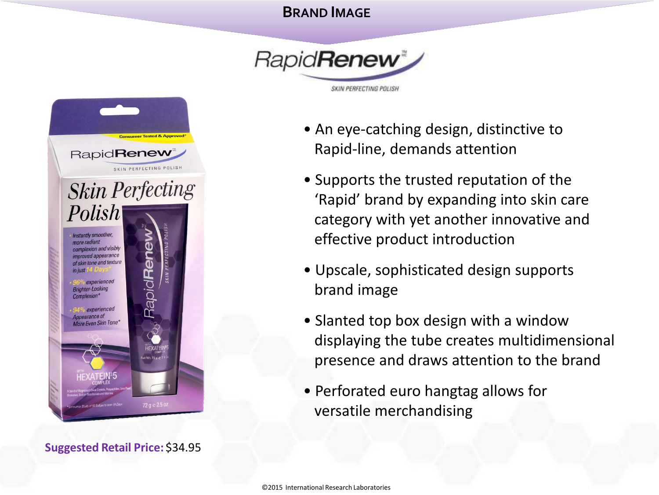#### **BRAND IMAGE**





**Suggested Retail Price:** \$34.95

- An eye-catching design, distinctive to Rapid-line, demands attention
- Supports the trusted reputation of the 'Rapid' brand by expanding into skin care category with yet another innovative and effective product introduction
- Upscale, sophisticated design supports brand image
- Slanted top box design with a window displaying the tube creates multidimensional presence and draws attention to the brand
- Perforated euro hangtag allows for versatile merchandising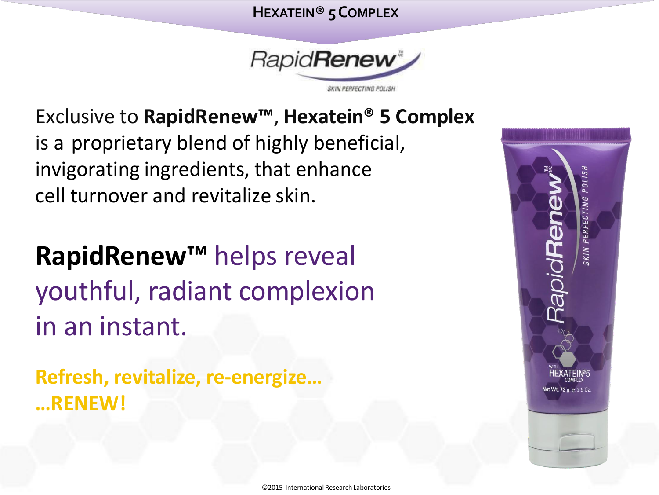### **HEXATEIN® 5COMPLEX**



Exclusive to **RapidRenew™** , **Hexatein® 5 Complex**  is a proprietary blend of highly beneficial, invigorating ingredients, that enhance cell turnover and revitalize skin.

**RapidRenew™** helps reveal youthful, radiant complexion in an instant.

**Refresh, revitalize, re-energize… …RENEW!**

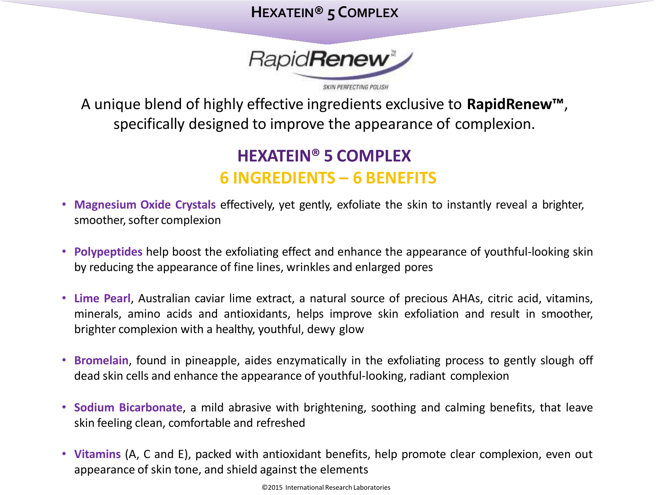### **HEXATEIN® 5COMPLEX**



A unique blend of highly effective ingredients exclusive to **RapidRenew™**, specifically designed to improve the appearance of complexion.

## **HEXATEIN® 5 COMPLEX 6 INGREDIENTS – 6 BENEFITS**

- **Magnesium Oxide Crystals** effectively, yet gently, exfoliate the skin to instantly reveal a brighter, smoother, softer complexion
- **Polypeptides** help boost the exfoliating effect and enhance the appearance of youthful-looking skin by reducing the appearance of fine lines, wrinkles and enlarged pores
- **Lime Pearl**, Australian caviar lime extract, a natural source of precious AHAs, citric acid, vitamins, minerals, amino acids and antioxidants, helps improve skin exfoliation and result in smoother, brighter complexion with a healthy, youthful, dewy glow
- **Bromelain**, found in pineapple, aides enzymatically in the exfoliating process to gently slough off dead skin cells and enhance the appearance of youthful-looking, radiant complexion
- **Sodium Bicarbonate**, a mild abrasive with brightening, soothing and calming benefits, that leave skin feeling clean, comfortable and refreshed
- **Vitamins** (A, C and E), packed with antioxidant benefits, help promote clear complexion, even out appearance of skin tone, and shield against the elements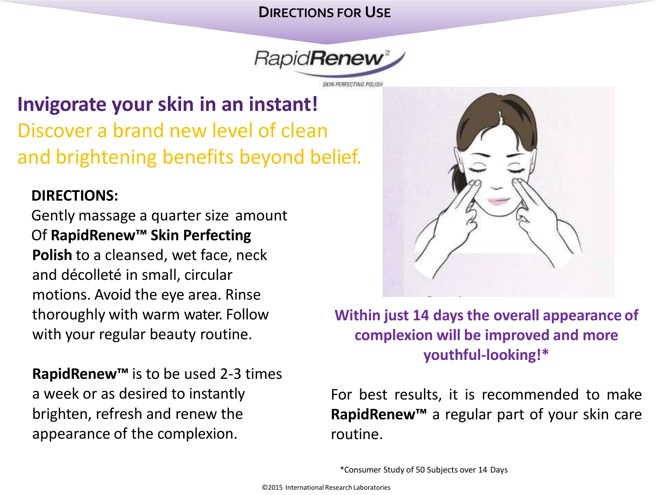#### **DIRECTIONS FOR USE**



# **Invigorate your skin in an instant!**  Discover a brand new level of clean and brightening benefits beyond belief.

### **DIRECTIONS:**

Gently massage a quarter size amount Of **RapidRenew™ Skin Perfecting Polish** to a cleansed, wet face, neck and décolleté in small, circular motions. Avoid the eye area. Rinse thoroughly with warm water. Follow with your regular beauty routine.

**RapidRenew™** is to be used 2-3 times a week or as desired to instantly brighten, refresh and renew the appearance of the complexion.



**Within just 14 days the overall appearance of complexion will be improved and more youthful-looking!\***

For best results, it is recommended to make **RapidRenew™** a regular part of your skin care routine.

\*Consumer Study of 50 Subjects over 14 Days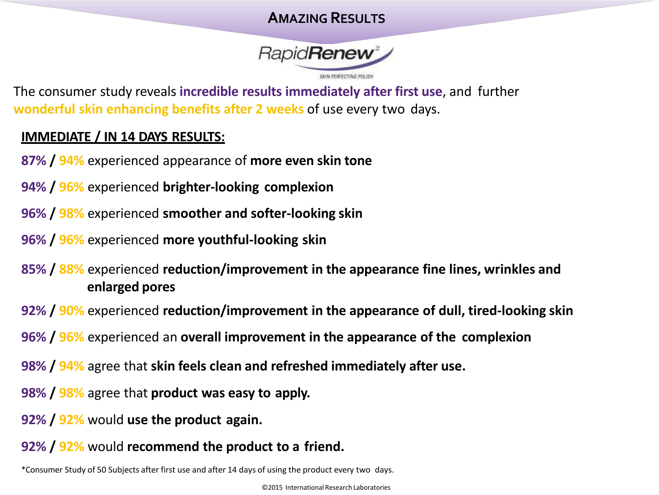### **AMAZING RESULTS**



The consumer study reveals **incredible results immediately after first use**, and further **wonderful skin enhancing benefits after 2 weeks** of use every two days.

#### **IMMEDIATE / IN 14 DAYS RESULTS:**

- **87% / 94%** experienced appearance of **more even skin tone**
- **94% / 96%** experienced **brighter-looking complexion**
- **96% / 98%** experienced **smoother and softer-looking skin**
- **96% / 96%** experienced **more youthful-looking skin**
- **85% / 88%** experienced **reduction/improvement in the appearance fine lines, wrinkles and enlarged pores**
- **92% / 90%** experienced **reduction/improvement in the appearance of dull, tired-looking skin**
- **96% / 96%** experienced an **overall improvement in the appearance of the complexion**
- **98% / 94%** agree that **skin feels clean and refreshed immediately after use.**
- **98% / 98%** agree that **product was easy to apply.**
- **92% / 92%** would **use the product again.**
- **92% / 92%** would **recommend the product to a friend.**

\*Consumer Study of 50 Subjects after first use and after 14 days of using the product every two days.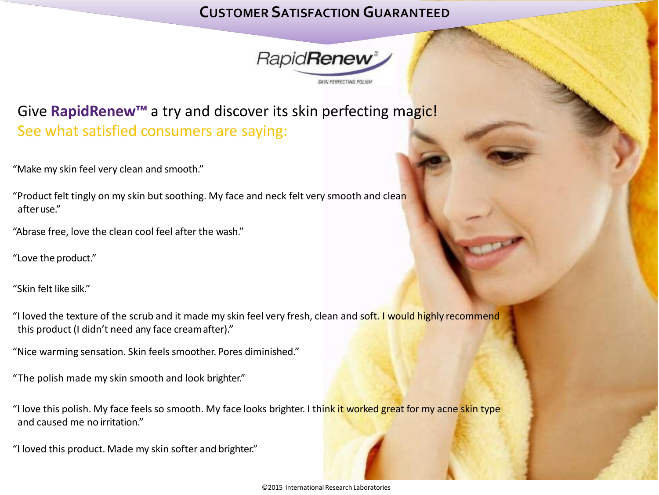### **CUSTOMER SATISFACTION GUARANTEED**



## Give **RapidRenew™** a try and discover its skin perfecting magic! See what satisfied consumers are saying:

"Make my skin feel very clean and smooth."

"Product felt tingly on my skin but soothing. My face and neck felt very smooth and clean afteruse."

"Abrase free, love the clean cool feel after the wash."

"Love the product."

"Skin felt like silk."

"I loved the texture of the scrub and it made my skin feel very fresh, clean and soft. I would highly recommend this product (I didn't need any face creamafter)."

"Nice warming sensation. Skin feels smoother. Pores diminished."

"The polish made my skin smooth and look brighter."

"I love this polish. My face feels so smooth. My face looks brighter. I think it worked great for my acne skin type and caused me no irritation."

"I loved this product. Made my skin softer and brighter."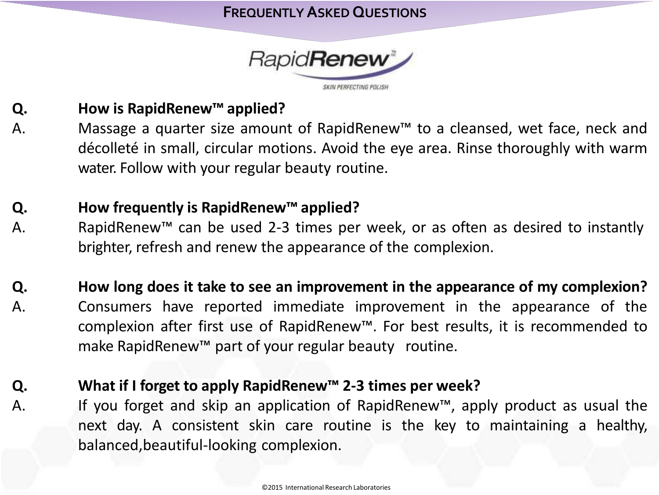

#### **Q. How is RapidRenew™ applied?**

A. Massage a quarter size amount of RapidRenew™ to a cleansed, wet face, neck and décolleté in small, circular motions. Avoid the eye area. Rinse thoroughly with warm water. Follow with your regular beauty routine.

#### **Q. How frequently is RapidRenew™ applied?**

- A. RapidRenew™ can be used 2-3 times per week, or as often as desired to instantly brighter, refresh and renew the appearance of the complexion.
- **Q.** A. **How long does it take to see an improvement in the appearance of my complexion?**  Consumers have reported immediate improvement in the appearance of the complexion after first use of RapidRenew™. For best results, it is recommended to make RapidRenew™ part of your regular beauty routine.
- **Q.** A. **What if I forget to apply RapidRenew™ 2-3 times per week?** If you forget and skip an application of RapidRenew™, apply product as usual the next day. A consistent skin care routine is the key to maintaining a healthy, balanced,beautiful-looking complexion.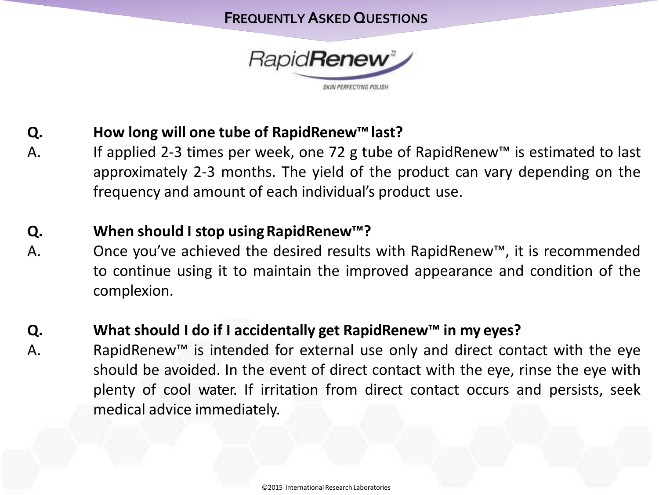

#### **Q. How long will one tube of RapidRenew™last?**

A. If applied 2-3 times per week, one 72 g tube of RapidRenew™ is estimated to last approximately 2-3 months. The yield of the product can vary depending on the frequency and amount of each individual's product use.

#### **Q. When should I stop usingRapidRenew™?**

A. Once you've achieved the desired results with RapidRenew™, it is recommended to continue using it to maintain the improved appearance and condition of the complexion.

#### **Q. What should I do if I accidentally get RapidRenew™ in my eyes?**

A. RapidRenew™ is intended for external use only and direct contact with the eye should be avoided. In the event of direct contact with the eye, rinse the eye with plenty of cool water. If irritation from direct contact occurs and persists, seek medical advice immediately.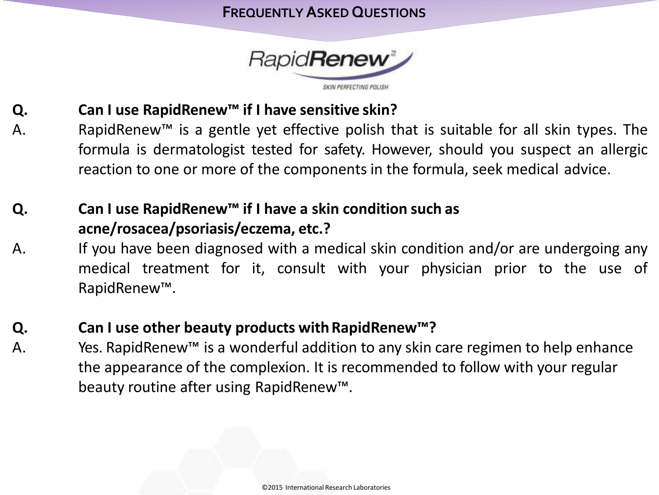

#### **Q. Can I use RapidRenew™ if I have sensitive skin?**

A. RapidRenew™ is a gentle yet effective polish that is suitable for all skin types. The formula is dermatologist tested for safety. However, should you suspect an allergic reaction to one or more of the components in the formula, seek medical advice.

#### **Q. Can I use RapidRenew™ if I have a skin condition such as acne/rosacea/psoriasis/eczema, etc.?**

A. If you have been diagnosed with a medical skin condition and/or are undergoing any medical treatment for it, consult with your physician prior to the use of RapidRenew™.

#### **Q. Can I use other beauty products withRapidRenew™?**

A.

Yes. RapidRenew™ is a wonderful addition to any skin care regimen to help enhance the appearance of the complexion. It is recommended to follow with your regular beauty routine after using RapidRenew™.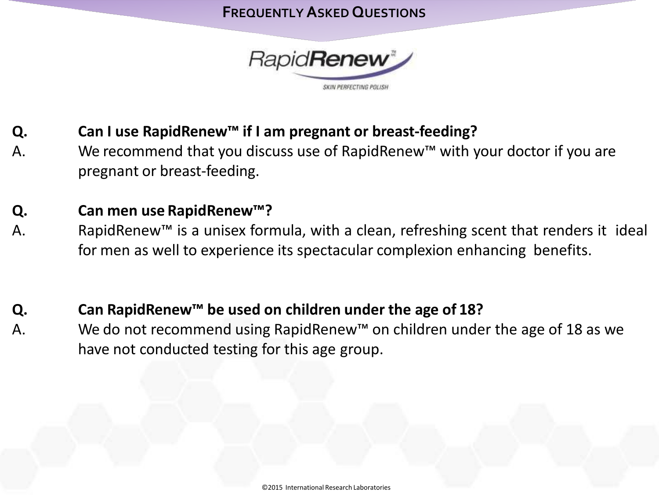

- **Q. Can I use RapidRenew™ if I am pregnant or breast-feeding?**
- A. We recommend that you discuss use of RapidRenew™ with your doctor if you are pregnant or breast-feeding.

#### **Q. Can men use RapidRenew™?**

- A. RapidRenew™ is a unisex formula, with a clean, refreshing scent that renders it ideal for men as well to experience its spectacular complexion enhancing benefits.
- **Q. Can RapidRenew™ be used on children under the age of 18?**
- A. We do not recommend using RapidRenew™ on children under the age of 18 as we have not conducted testing for this age group.